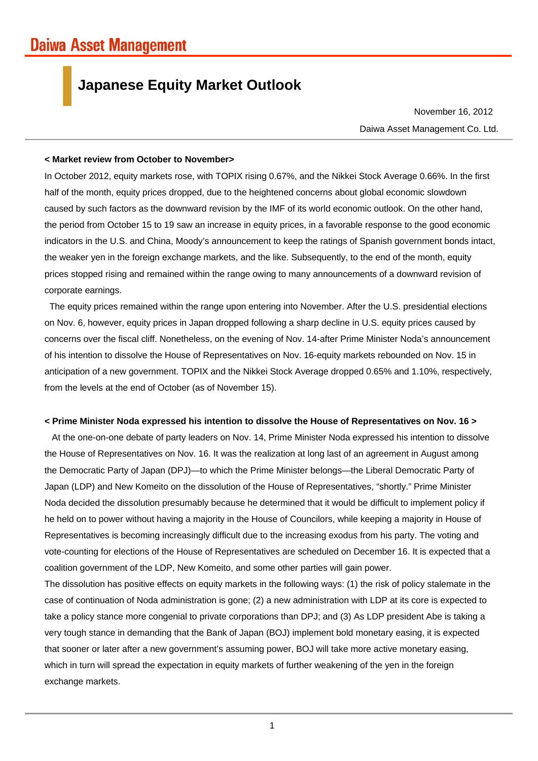## **Japanese Equity Market Outlook**

Daiwa Asset Management Co. Ltd. November 16, 2012

#### **< Market review from October to November>**

In October 2012, equity markets rose, with TOPIX rising 0.67%, and the Nikkei Stock Average 0.66%. In the first half of the month, equity prices dropped, due to the heightened concerns about global economic slowdown caused by such factors as the downward revision by the IMF of its world economic outlook. On the other hand, the period from October 15 to 19 saw an increase in equity prices, in a favorable response to the good economic indicators in the U.S. and China, Moody's announcement to keep the ratings of Spanish government bonds intact, the weaker yen in the foreign exchange markets, and the like. Subsequently, to the end of the month, equity prices stopped rising and remained within the range owing to many announcements of a downward revision of corporate earnings.

The equity prices remained within the range upon entering into November. After the U.S. presidential elections on Nov. 6, however, equity prices in Japan dropped following a sharp decline in U.S. equity prices caused by concerns over the fiscal cliff. Nonetheless, on the evening of Nov. 14-after Prime Minister Noda's announcement of his intention to dissolve the House of Representatives on Nov. 16-equity markets rebounded on Nov. 15 in anticipation of a new government. TOPIX and the Nikkei Stock Average dropped 0.65% and 1.10%, respectively, from the levels at the end of October (as of November 15).

### **< Prime Minister Noda expressed his intention to dissolve the House of Representatives on Nov. 16 >**

At the one-on-one debate of party leaders on Nov. 14, Prime Minister Noda expressed his intention to dissolve the House of Representatives on Nov. 16. It was the realization at long last of an agreement in August among the Democratic Party of Japan (DPJ)—to which the Prime Minister belongs—the Liberal Democratic Party of Japan (LDP) and New Komeito on the dissolution of the House of Representatives, "shortly." Prime Minister Noda decided the dissolution presumably because he determined that it would be difficult to implement policy if he held on to power without having a majority in the House of Councilors, while keeping a majority in House of Representatives is becoming increasingly difficult due to the increasing exodus from his party. The voting and vote-counting for elections of the House of Representatives are scheduled on December 16. It is expected that a coalition government of the LDP, New Komeito, and some other parties will gain power.

The dissolution has positive effects on equity markets in the following ways: (1) the risk of policy stalemate in the case of continuation of Noda administration is gone; (2) a new administration with LDP at its core is expected to take a policy stance more congenial to private corporations than DPJ; and (3) As LDP president Abe is taking a very tough stance in demanding that the Bank of Japan (BOJ) implement bold monetary easing, it is expected that sooner or later after a new government's assuming power, BOJ will take more active monetary easing, which in turn will spread the expectation in equity markets of further weakening of the yen in the foreign exchange markets.